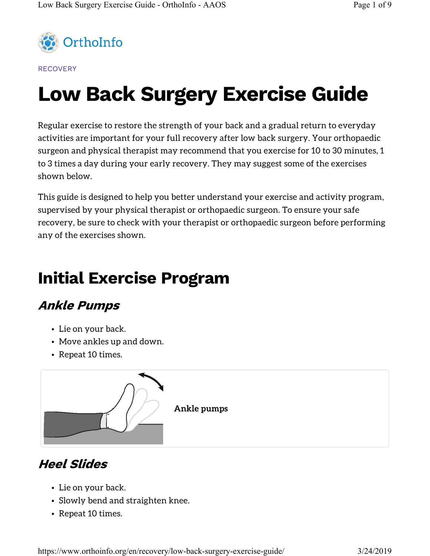

**RECOVERY** 

# Low Back Surgery Exercise Guide

Regular exercise to restore the strength of your back and a gradual return to everyday activities are important for your full recovery after low back surgery. Your orthopaedic surgeon and physical therapist may recommend that you exercise for 10 to 30 minutes, 1 to 3 times a day during your early recovery. They may suggest some of the exercises shown below.

This guide is designed to help you better understand your exercise and activity program, supervised by your physical therapist or orthopaedic surgeon. To ensure your safe recovery, be sure to check with your therapist or orthopaedic surgeon before performing any of the exercises shown.

# Initial Exercise Program

#### Ankle Pumps

- Lie on your back.
- Move ankles up and down.
- Repeat 10 times.



#### Heel Slides

- Lie on your back.
- Slowly bend and straighten knee.
- Repeat 10 times.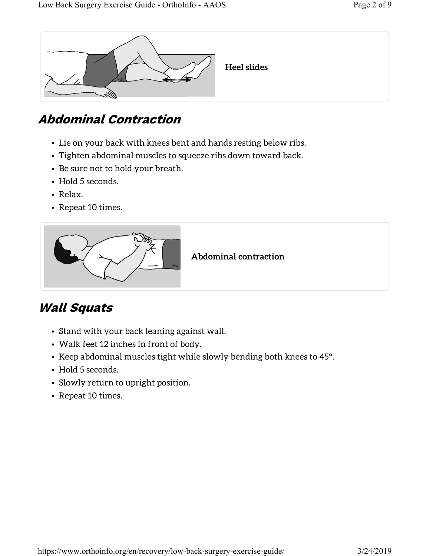

### Abdominal Contraction

- Lie on your back with knees bent and hands resting below ribs.
- Tighten abdominal muscles to squeeze ribs down toward back.
- Be sure not to hold your breath.
- Hold 5 seconds.
- Relax.
- Repeat 10 times.



### Wall Squats

- Stand with your back leaning against wall.
- Walk feet 12 inches in front of body.
- Keep abdominal muscles tight while slowly bending both knees to 45°.
- Hold 5 seconds.
- Slowly return to upright position.
- Repeat 10 times.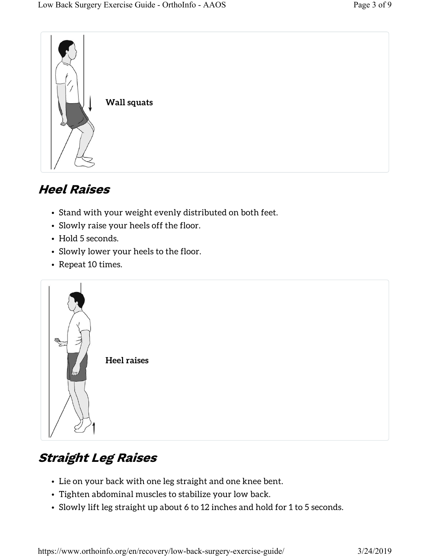

### Heel Raises

- Stand with your weight evenly distributed on both feet.
- Slowly raise your heels off the floor.
- Hold 5 seconds.
- Slowly lower your heels to the floor.
- Repeat 10 times.



### Straight Leg Raises

- Lie on your back with one leg straight and one knee bent.
- Tighten abdominal muscles to stabilize your low back.
- Slowly lift leg straight up about 6 to 12 inches and hold for 1 to 5 seconds.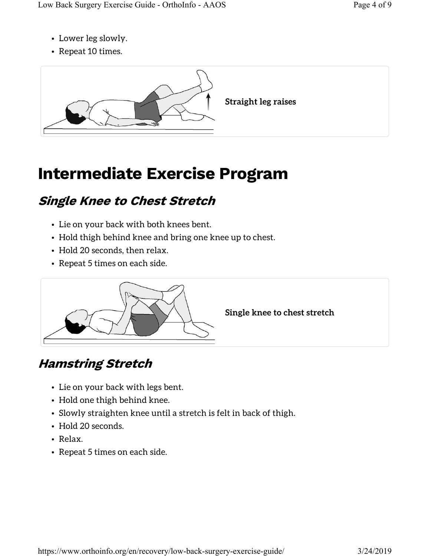- Lower leg slowly.
- Repeat 10 times.



# Intermediate Exercise Program

### Single Knee to Chest Stretch

- Lie on your back with both knees bent.
- Hold thigh behind knee and bring one knee up to chest.
- Hold 20 seconds, then relax.
- Repeat 5 times on each side.



Single knee to chest stretch

### Hamstring Stretch

- Lie on your back with legs bent.
- Hold one thigh behind knee.
- Slowly straighten knee until a stretch is felt in back of thigh.
- Hold 20 seconds.
- Relax.
- Repeat 5 times on each side.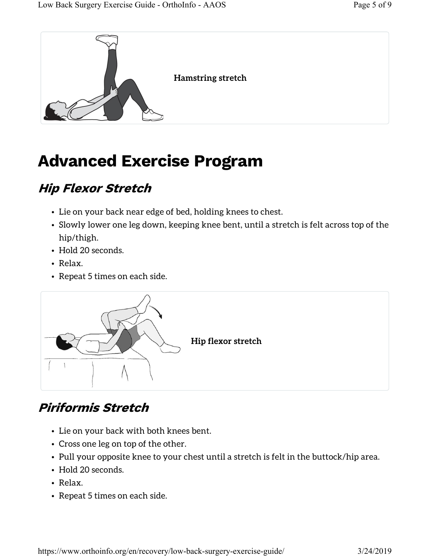

# Advanced Exercise Program

### Hip Flexor Stretch

- Lie on your back near edge of bed, holding knees to chest.
- Slowly lower one leg down, keeping knee bent, until a stretch is felt across top of the hip/thigh.
- Hold 20 seconds.
- Relax.
- Repeat 5 times on each side.



### Piriformis Stretch

- Lie on your back with both knees bent.
- Cross one leg on top of the other.
- Pull your opposite knee to your chest until a stretch is felt in the buttock/hip area.
- Hold 20 seconds.
- Relax.
- Repeat 5 times on each side.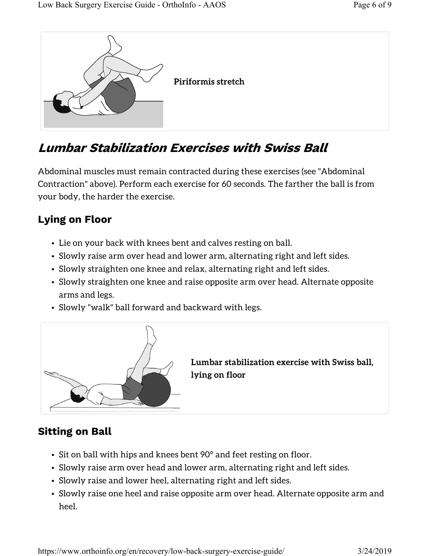

#### Lumbar Stabilization Exercises with Swiss Ball

Abdominal muscles must remain contracted during these exercises (see "Abdominal Contraction" above). Perform each exercise for 60 seconds. The farther the ball is from your body, the harder the exercise.

#### Lying on Floor

- Lie on your back with knees bent and calves resting on ball.
- Slowly raise arm over head and lower arm, alternating right and left sides.
- Slowly straighten one knee and relax, alternating right and left sides.
- Slowly straighten one knee and raise opposite arm over head. Alternate opposite arms and legs.
- Slowly "walk" ball forward and backward with legs.



Lumbar stabilization exercise with Swiss ball, lying on floor

#### Sitting on Ball

- Sit on ball with hips and knees bent 90° and feet resting on floor.
- Slowly raise arm over head and lower arm, alternating right and left sides.
- Slowly raise and lower heel, alternating right and left sides.
- Slowly raise one heel and raise opposite arm over head. Alternate opposite arm and heel.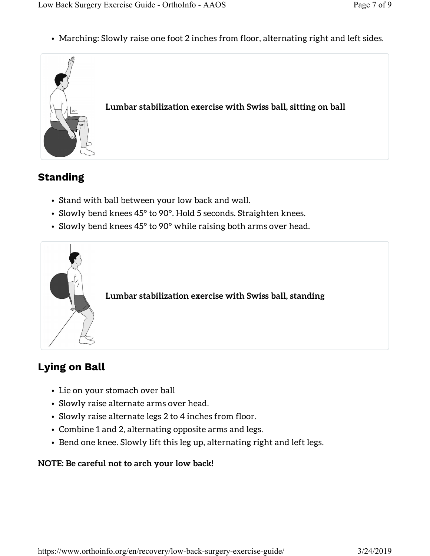• Marching: Slowly raise one foot 2 inches from floor, alternating right and left sides.



#### Standing

- Stand with ball between your low back and wall.
- Slowly bend knees 45° to 90°. Hold 5 seconds. Straighten knees.
- Slowly bend knees 45° to 90° while raising both arms over head.



Lumbar stabilization exercise with Swiss ball, standing

#### Lying on Ball

- Lie on your stomach over ball
- Slowly raise alternate arms over head.
- Slowly raise alternate legs 2 to 4 inches from floor.
- Combine 1 and 2, alternating opposite arms and legs.
- Bend one knee. Slowly lift this leg up, alternating right and left legs.

#### NOTE: Be careful not to arch your low back!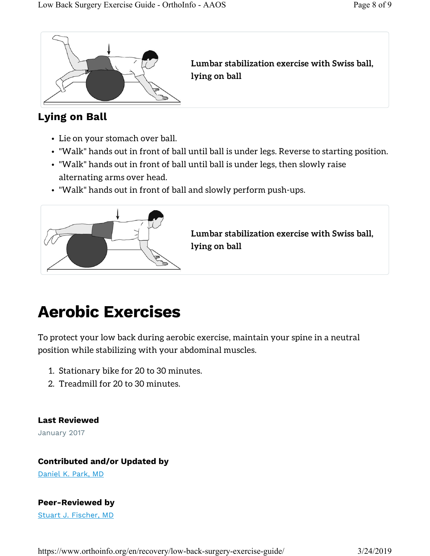

Lumbar stabilization exercise with Swiss ball, lying on ball

#### Lying on Ball

- Lie on your stomach over ball.
- "Walk" hands out in front of ball until ball is under legs. Reverse to starting position.
- "Walk" hands out in front of ball until ball is under legs, then slowly raise alternating arms over head.
- "Walk" hands out in front of ball and slowly perform push-ups.



Lumbar stabilization exercise with Swiss ball, lying on ball

## Aerobic Exercises

To protect your low back during aerobic exercise, maintain your spine in a neutral position while stabilizing with your abdominal muscles.

- 1. Stationary bike for 20 to 30 minutes.
- 2. Treadmill for 20 to 30 minutes.

Last Reviewed January 2017

#### Contributed and/or Updated by

Daniel K. Park, MD

#### Peer-Reviewed by

Stuart J. Fischer, MD